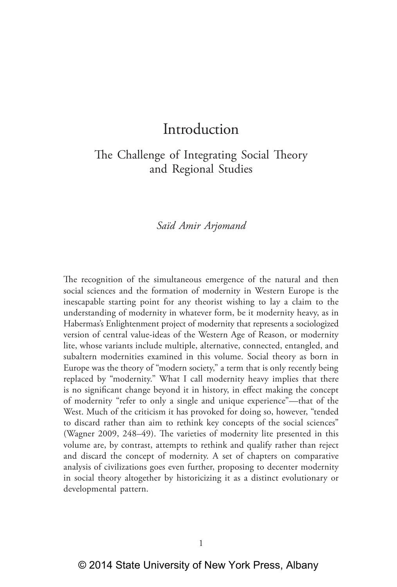## The Challenge of Integrating Social Theory and Regional Studies

#### *Saïd Amir Arjomand*

The recognition of the simultaneous emergence of the natural and then social sciences and the formation of modernity in Western Europe is the inescapable starting point for any theorist wishing to lay a claim to the understanding of modernity in whatever form, be it modernity heavy, as in Habermas's Enlightenment project of modernity that represents a sociologized version of central value‑ideas of the Western Age of Reason, or modernity lite, whose variants include multiple, alternative, connected, entangled, and subaltern modernities examined in this volume. Social theory as born in Europe was the theory of "modern society," a term that is only recently being replaced by "modernity." What I call modernity heavy implies that there is no significant change beyond it in history, in effect making the concept of modernity "refer to only a single and unique experience"—that of the West. Much of the criticism it has provoked for doing so, however, "tended to discard rather than aim to rethink key concepts of the social sciences" (Wagner 2009, 248–49). The varieties of modernity lite presented in this volume are, by contrast, attempts to rethink and qualify rather than reject and discard the concept of modernity. A set of chapters on comparative analysis of civilizations goes even further, proposing to decenter modernity in social theory altogether by historicizing it as a distinct evolutionary or developmental pattern.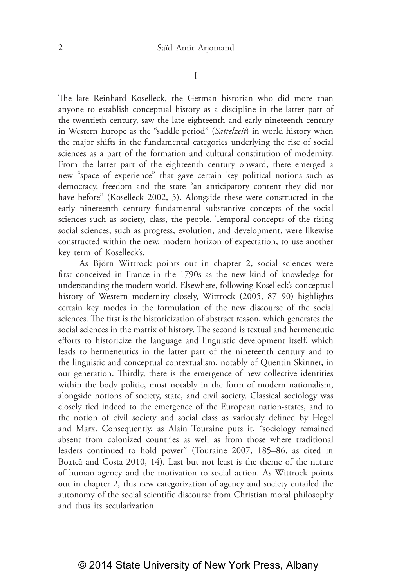I

The late Reinhard Koselleck, the German historian who did more than anyone to establish conceptual history as a discipline in the latter part of the twentieth century, saw the late eighteenth and early nineteenth century in Western Europe as the "saddle period" (*Sattelzeit*) in world history when the major shifts in the fundamental categories underlying the rise of social sciences as a part of the formation and cultural constitution of modernity. From the latter part of the eighteenth century onward, there emerged a new "space of experience" that gave certain key political notions such as democracy, freedom and the state "an anticipatory content they did not have before" (Koselleck 2002, 5). Alongside these were constructed in the early nineteenth century fundamental substantive concepts of the social sciences such as society, class, the people. Temporal concepts of the rising social sciences, such as progress, evolution, and development, were likewise constructed within the new, modern horizon of expectation, to use another key term of Koselleck's.

As Björn Wittrock points out in chapter 2, social sciences were first conceived in France in the 1790s as the new kind of knowledge for understanding the modern world. Elsewhere, following Koselleck's conceptual history of Western modernity closely, Wittrock (2005, 87–90) highlights certain key modes in the formulation of the new discourse of the social sciences. The first is the historicization of abstract reason, which generates the social sciences in the matrix of history. The second is textual and hermeneutic efforts to historicize the language and linguistic development itself, which leads to hermeneutics in the latter part of the nineteenth century and to the linguistic and conceptual contextualism, notably of Quentin Skinner, in our generation. Thirdly, there is the emergence of new collective identities within the body politic, most notably in the form of modern nationalism, alongside notions of society, state, and civil society. Classical sociology was closely tied indeed to the emergence of the European nation-states, and to the notion of civil society and social class as variously defined by Hegel and Marx. Consequently, as Alain Touraine puts it, "sociology remained absent from colonized countries as well as from those where traditional leaders continued to hold power" (Touraine 2007, 185–86, as cited in Boatcă and Costa 2010, 14). Last but not least is the theme of the nature of human agency and the motivation to social action. As Wittrock points out in chapter 2, this new categorization of agency and society entailed the autonomy of the social scientific discourse from Christian moral philosophy and thus its secularization.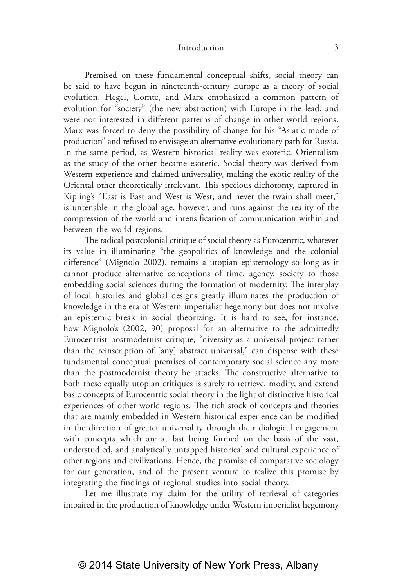Premised on these fundamental conceptual shifts, social theory can be said to have begun in nineteenth-century Europe as a theory of social evolution. Hegel, Comte, and Marx emphasized a common pattern of evolution for "society" (the new abstraction) with Europe in the lead, and were not interested in different patterns of change in other world regions. Marx was forced to deny the possibility of change for his "Asiatic mode of production" and refused to envisage an alternative evolutionary path for Russia. In the same period, as Western historical reality was exoteric, Orientalism as the study of the other became esoteric. Social theory was derived from Western experience and claimed universality, making the exotic reality of the Oriental other theoretically irrelevant. This specious dichotomy, captured in Kipling's "East is East and West is West; and never the twain shall meet," is untenable in the global age, however, and runs against the reality of the compression of the world and intensification of communication within and between the world regions.

The radical postcolonial critique of social theory as Eurocentric, whatever its value in illuminating "the geopolitics of knowledge and the colonial difference" (Mignolo 2002), remains a utopian epistemology so long as it cannot produce alternative conceptions of time, agency, society to those embedding social sciences during the formation of modernity. The interplay of local histories and global designs greatly illuminates the production of knowledge in the era of Western imperialist hegemony but does not involve an epistemic break in social theorizing. It is hard to see, for instance, how Mignolo's (2002, 90) proposal for an alternative to the admittedly Eurocentrist postmodernist critique, "diversity as a universal project rather than the reinscription of [any] abstract universal," can dispense with these fundamental conceptual premises of contemporary social science any more than the postmodernist theory he attacks. The constructive alternative to both these equally utopian critiques is surely to retrieve, modify, and extend basic concepts of Eurocentric social theory in the light of distinctive historical experiences of other world regions. The rich stock of concepts and theories that are mainly embedded in Western historical experience can be modified in the direction of greater universality through their dialogical engagement with concepts which are at last being formed on the basis of the vast, understudied, and analytically untapped historical and cultural experience of other regions and civilizations. Hence, the promise of comparative sociology for our generation, and of the present venture to realize this promise by integrating the findings of regional studies into social theory.

Let me illustrate my claim for the utility of retrieval of categories impaired in the production of knowledge under Western imperialist hegemony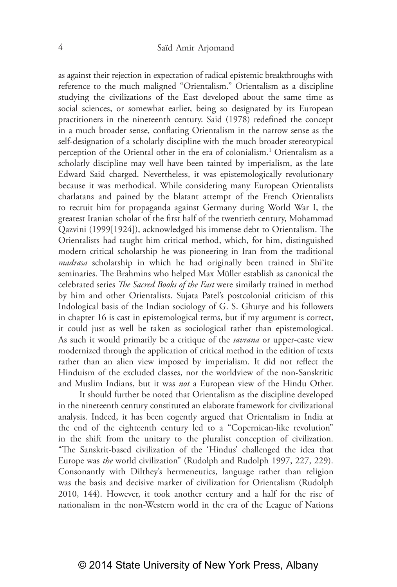as against their rejection in expectation of radical epistemic breakthroughs with reference to the much maligned "Orientalism." Orientalism as a discipline studying the civilizations of the East developed about the same time as social sciences, or somewhat earlier, being so designated by its European practitioners in the nineteenth century. Said (1978) redefined the concept in a much broader sense, conflating Orientalism in the narrow sense as the self-designation of a scholarly discipline with the much broader stereotypical perception of the Oriental other in the era of colonialism.1 Orientalism as a scholarly discipline may well have been tainted by imperialism, as the late Edward Said charged. Nevertheless, it was epistemologically revolutionary because it was methodical. While considering many European Orientalists charlatans and pained by the blatant attempt of the French Orientalists to recruit him for propaganda against Germany during World War I, the greatest Iranian scholar of the first half of the twentieth century, Mohammad Qazvini (1999[1924]), acknowledged his immense debt to Orientalism. The Orientalists had taught him critical method, which, for him, distinguished modern critical scholarship he was pioneering in Iran from the traditional *madrasa* scholarship in which he had originally been trained in Shi'ite seminaries. The Brahmins who helped Max Müller establish as canonical the celebrated series *The Sacred Books of the East* were similarly trained in method by him and other Orientalists. Sujata Patel's postcolonial criticism of this Indological basis of the Indian sociology of G. S. Ghurye and his followers in chapter 16 is cast in epistemological terms, but if my argument is correct, it could just as well be taken as sociological rather than epistemological. As such it would primarily be a critique of the *savrana* or upper-caste view modernized through the application of critical method in the edition of texts rather than an alien view imposed by imperialism. It did not reflect the Hinduism of the excluded classes, nor the worldview of the non‑Sanskritic and Muslim Indians, but it was *not* a European view of the Hindu Other.

It should further be noted that Orientalism as the discipline developed in the nineteenth century constituted an elaborate framework for civilizational analysis. Indeed, it has been cogently argued that Orientalism in India at the end of the eighteenth century led to a "Copernican-like revolution" in the shift from the unitary to the pluralist conception of civilization. "The Sanskrit‑based civilization of the 'Hindus' challenged the idea that Europe was *the* world civilization" (Rudolph and Rudolph 1997, 227, 229). Consonantly with Dilthey's hermeneutics, language rather than religion was the basis and decisive marker of civilization for Orientalism (Rudolph 2010, 144). However, it took another century and a half for the rise of nationalism in the non‑Western world in the era of the League of Nations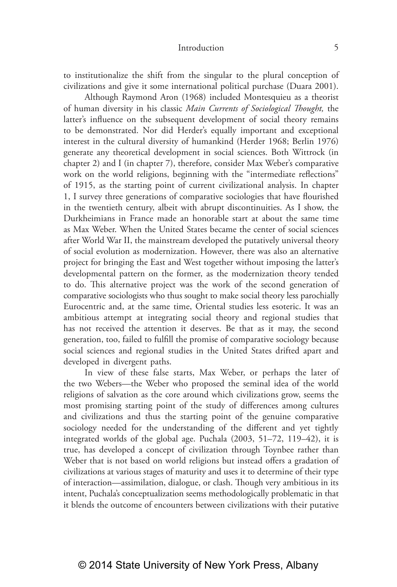to institutionalize the shift from the singular to the plural conception of civilizations and give it some international political purchase (Duara 2001).

Although Raymond Aron (1968) included Montesquieu as a theorist of human diversity in his classic *Main Currents of Sociological Thought,* the latter's influence on the subsequent development of social theory remains to be demonstrated. Nor did Herder's equally important and exceptional interest in the cultural diversity of humankind (Herder 1968; Berlin 1976) generate any theoretical development in social sciences. Both Wittrock (in chapter 2) and I (in chapter 7), therefore, consider Max Weber's comparative work on the world religions, beginning with the "intermediate reflections" of 1915, as the starting point of current civilizational analysis. In chapter 1, I survey three generations of comparative sociologies that have flourished in the twentieth century, albeit with abrupt discontinuities. As I show, the Durkheimians in France made an honorable start at about the same time as Max Weber. When the United States became the center of social sciences after World War II, the mainstream developed the putatively universal theory of social evolution as modernization. However, there was also an alternative project for bringing the East and West together without imposing the latter's developmental pattern on the former, as the modernization theory tended to do. This alternative project was the work of the second generation of comparative sociologists who thus sought to make social theory less parochially Eurocentric and, at the same time, Oriental studies less esoteric. It was an ambitious attempt at integrating social theory and regional studies that has not received the attention it deserves. Be that as it may, the second generation, too, failed to fulfill the promise of comparative sociology because social sciences and regional studies in the United States drifted apart and developed in divergent paths.

In view of these false starts, Max Weber, or perhaps the later of the two Webers—the Weber who proposed the seminal idea of the world religions of salvation as the core around which civilizations grow, seems the most promising starting point of the study of differences among cultures and civilizations and thus the starting point of the genuine comparative sociology needed for the understanding of the different and yet tightly integrated worlds of the global age. Puchala (2003, 51–72, 119–42), it is true, has developed a concept of civilization through Toynbee rather than Weber that is not based on world religions but instead offers a gradation of civilizations at various stages of maturity and uses it to determine of their type of interaction—assimilation, dialogue, or clash. Though very ambitious in its intent, Puchala's conceptualization seems methodologically problematic in that it blends the outcome of encounters between civilizations with their putative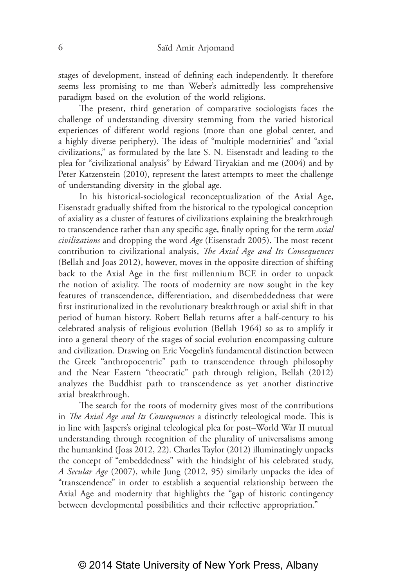stages of development, instead of defining each independently. It therefore seems less promising to me than Weber's admittedly less comprehensive paradigm based on the evolution of the world religions.

The present, third generation of comparative sociologists faces the challenge of understanding diversity stemming from the varied historical experiences of different world regions (more than one global center, and a highly diverse periphery). The ideas of "multiple modernities" and "axial civilizations," as formulated by the late S. N. Eisenstadt and leading to the plea for "civilizational analysis" by Edward Tiryakian and me (2004) and by Peter Katzenstein (2010), represent the latest attempts to meet the challenge of understanding diversity in the global age.

In his historical-sociological reconceptualization of the Axial Age, Eisenstadt gradually shifted from the historical to the typological conception of axiality as a cluster of features of civilizations explaining the breakthrough to transcendence rather than any specific age, finally opting for the term *axial civilizations* and dropping the word *Age* (Eisenstadt 2005). The most recent contribution to civilizational analysis, *The Axial Age and Its Consequences* (Bellah and Joas 2012), however, moves in the opposite direction of shifting back to the Axial Age in the first millennium BCE in order to unpack the notion of axiality. The roots of modernity are now sought in the key features of transcendence, differentiation, and disembeddedness that were first institutionalized in the revolutionary breakthrough or axial shift in that period of human history. Robert Bellah returns after a half‑century to his celebrated analysis of religious evolution (Bellah 1964) so as to amplify it into a general theory of the stages of social evolution encompassing culture and civilization. Drawing on Eric Voegelin's fundamental distinction between the Greek "anthropocentric" path to transcendence through philosophy and the Near Eastern "theocratic" path through religion, Bellah (2012) analyzes the Buddhist path to transcendence as yet another distinctive axial breakthrough.

The search for the roots of modernity gives most of the contributions in *The Axial Age and Its Consequences* a distinctly teleological mode. This is in line with Jaspers's original teleological plea for post–World War II mutual understanding through recognition of the plurality of universalisms among the humankind (Joas 2012, 22). Charles Taylor (2012) illuminatingly unpacks the concept of "embeddedness" with the hindsight of his celebrated study, *A Secular Age* (2007), while Jung (2012, 95) similarly unpacks the idea of "transcendence" in order to establish a sequential relationship between the Axial Age and modernity that highlights the "gap of historic contingency between developmental possibilities and their reflective appropriation."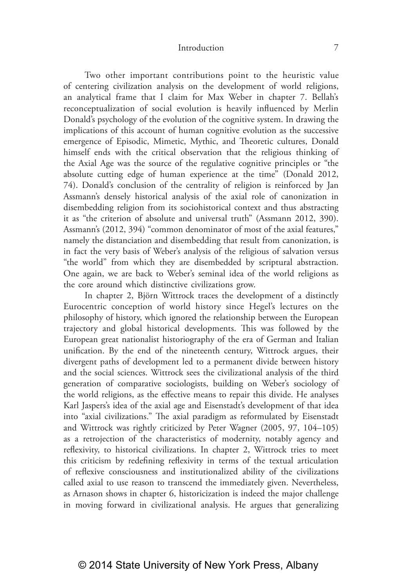Two other important contributions point to the heuristic value of centering civilization analysis on the development of world religions, an analytical frame that I claim for Max Weber in chapter 7. Bellah's reconceptualization of social evolution is heavily influenced by Merlin Donald's psychology of the evolution of the cognitive system. In drawing the implications of this account of human cognitive evolution as the successive emergence of Episodic, Mimetic, Mythic, and Theoretic cultures, Donald himself ends with the critical observation that the religious thinking of the Axial Age was the source of the regulative cognitive principles or "the absolute cutting edge of human experience at the time" (Donald 2012, 74). Donald's conclusion of the centrality of religion is reinforced by Jan Assmann's densely historical analysis of the axial role of canonization in disembedding religion from its sociohistorical context and thus abstracting it as "the criterion of absolute and universal truth" (Assmann 2012, 390). Assmann's (2012, 394) "common denominator of most of the axial features," namely the distanciation and disembedding that result from canonization, is in fact the very basis of Weber's analysis of the religious of salvation versus "the world" from which they are disembedded by scriptural abstraction. One again, we are back to Weber's seminal idea of the world religions as the core around which distinctive civilizations grow.

In chapter 2, Björn Wittrock traces the development of a distinctly Eurocentric conception of world history since Hegel's lectures on the philosophy of history, which ignored the relationship between the European trajectory and global historical developments. This was followed by the European great nationalist historiography of the era of German and Italian unification. By the end of the nineteenth century, Wittrock argues, their divergent paths of development led to a permanent divide between history and the social sciences. Wittrock sees the civilizational analysis of the third generation of comparative sociologists, building on Weber's sociology of the world religions, as the effective means to repair this divide. He analyses Karl Jaspers's idea of the axial age and Eisenstadt's development of that idea into "axial civilizations." The axial paradigm as reformulated by Eisenstadt and Wittrock was rightly criticized by Peter Wagner (2005, 97, 104–105) as a retrojection of the characteristics of modernity, notably agency and reflexivity, to historical civilizations. In chapter 2, Wittrock tries to meet this criticism by redefining reflexivity in terms of the textual articulation of reflexive consciousness and institutionalized ability of the civilizations called axial to use reason to transcend the immediately given. Nevertheless, as Arnason shows in chapter 6, historicization is indeed the major challenge in moving forward in civilizational analysis. He argues that generalizing

© 2014 State University of New York Press, Albany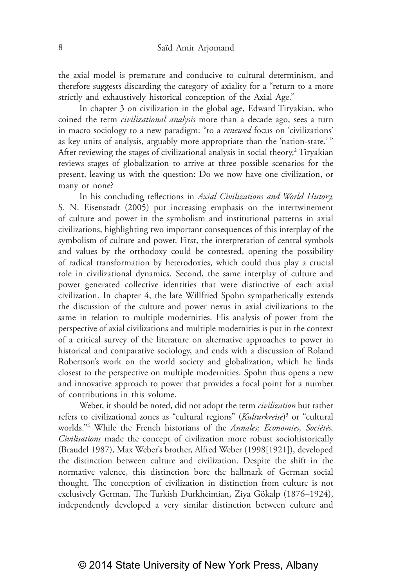the axial model is premature and conducive to cultural determinism, and therefore suggests discarding the category of axiality for a "return to a more strictly and exhaustively historical conception of the Axial Age."

In chapter 3 on civilization in the global age, Edward Tiryakian, who coined the term *civilizational analysis* more than a decade ago, sees a turn in macro sociology to a new paradigm: "to a *renewed* focus on 'civilizations' as key units of analysis, arguably more appropriate than the 'nation-state.'" After reviewing the stages of civilizational analysis in social theory, $2$  Tiryakian reviews stages of globalization to arrive at three possible scenarios for the present, leaving us with the question: Do we now have one civilization, or many or none?

In his concluding reflections in *Axial Civilizations and World History,* S. N. Eisenstadt (2005) put increasing emphasis on the intertwinement of culture and power in the symbolism and institutional patterns in axial civilizations, highlighting two important consequences of this interplay of the symbolism of culture and power. First, the interpretation of central symbols and values by the orthodoxy could be contested, opening the possibility of radical transformation by heterodoxies, which could thus play a crucial role in civilizational dynamics. Second, the same interplay of culture and power generated collective identities that were distinctive of each axial civilization. In chapter 4, the late Willfried Spohn sympathetically extends the discussion of the culture and power nexus in axial civilizations to the same in relation to multiple modernities. His analysis of power from the perspective of axial civilizations and multiple modernities is put in the context of a critical survey of the literature on alternative approaches to power in historical and comparative sociology, and ends with a discussion of Roland Robertson's work on the world society and globalization, which he finds closest to the perspective on multiple modernities. Spohn thus opens a new and innovative approach to power that provides a focal point for a number of contributions in this volume.

Weber, it should be noted, did not adopt the term *civilization* but rather refers to civilizational zones as "cultural regions" (*Kulturkreise*)3 or "cultural worlds."4 While the French historians of the *Annales; Economies, Sociétés, Civilisations* made the concept of civilization more robust sociohistorically (Braudel 1987), Max Weber's brother, Alfred Weber (1998[1921]), developed the distinction between culture and civilization. Despite the shift in the normative valence, this distinction bore the hallmark of German social thought. The conception of civilization in distinction from culture is not exclusively German. The Turkish Durkheimian, Ziya Gökalp (1876–1924), independently developed a very similar distinction between culture and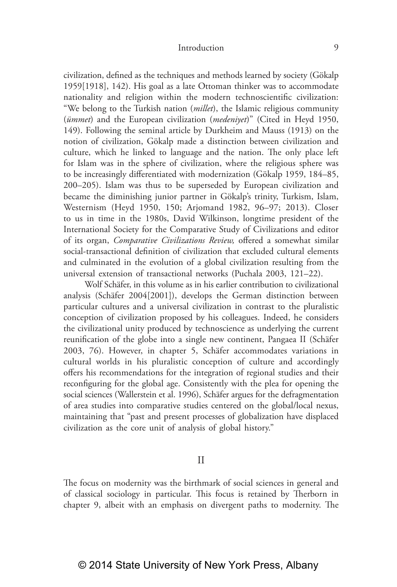civilization, defined as the techniques and methods learned by society (Gökalp 1959[1918], 142). His goal as a late Ottoman thinker was to accommodate nationality and religion within the modern technoscientific civilization: "We belong to the Turkish nation (*millet*), the Islamic religious community (*ümmet*) and the European civilization (*medeniyet*)" (Cited in Heyd 1950, 149). Following the seminal article by Durkheim and Mauss (1913) on the notion of civilization, Gökalp made a distinction between civilization and culture, which he linked to language and the nation. The only place left for Islam was in the sphere of civilization, where the religious sphere was to be increasingly differentiated with modernization (Gökalp 1959, 184–85, 200–205). Islam was thus to be superseded by European civilization and became the diminishing junior partner in Gökalp's trinity, Turkism, Islam, Westernism (Heyd 1950, 150; Arjomand 1982, 96–97; 2013). Closer to us in time in the 1980s, David Wilkinson, longtime president of the International Society for the Comparative Study of Civilizations and editor of its organ, *Comparative Civilizations Review,* offered a somewhat similar social-transactional definition of civilization that excluded cultural elements and culminated in the evolution of a global civilization resulting from the universal extension of transactional networks (Puchala 2003, 121–22).

Wolf Schäfer, in this volume as in his earlier contribution to civilizational analysis (Schäfer 2004[2001]), develops the German distinction between particular cultures and a universal civilization in contrast to the pluralistic conception of civilization proposed by his colleagues. Indeed, he considers the civilizational unity produced by technoscience as underlying the current reunification of the globe into a single new continent, Pangaea II (Schäfer 2003, 76). However, in chapter 5, Schäfer accommodates variations in cultural worlds in his pluralistic conception of culture and accordingly offers his recommendations for the integration of regional studies and their reconfiguring for the global age. Consistently with the plea for opening the social sciences (Wallerstein et al. 1996), Schäfer argues for the defragmentation of area studies into comparative studies centered on the global/local nexus, maintaining that "past and present processes of globalization have displaced civilization as the core unit of analysis of global history."

II

The focus on modernity was the birthmark of social sciences in general and of classical sociology in particular. This focus is retained by Therborn in chapter 9, albeit with an emphasis on divergent paths to modernity. The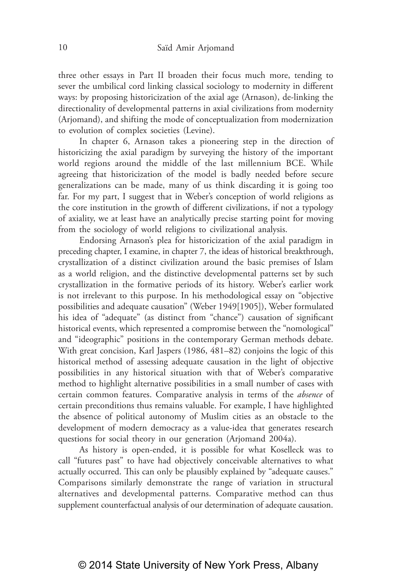three other essays in Part II broaden their focus much more, tending to sever the umbilical cord linking classical sociology to modernity in different ways: by proposing historicization of the axial age (Arnason), de-linking the directionality of developmental patterns in axial civilizations from modernity (Arjomand), and shifting the mode of conceptualization from modernization to evolution of complex societies (Levine).

In chapter 6, Arnason takes a pioneering step in the direction of historicizing the axial paradigm by surveying the history of the important world regions around the middle of the last millennium BCE. While agreeing that historicization of the model is badly needed before secure generalizations can be made, many of us think discarding it is going too far. For my part, I suggest that in Weber's conception of world religions as the core institution in the growth of different civilizations, if not a typology of axiality, we at least have an analytically precise starting point for moving from the sociology of world religions to civilizational analysis.

Endorsing Arnason's plea for historicization of the axial paradigm in preceding chapter, I examine, in chapter 7, the ideas of historical breakthrough, crystallization of a distinct civilization around the basic premises of Islam as a world religion, and the distinctive developmental patterns set by such crystallization in the formative periods of its history. Weber's earlier work is not irrelevant to this purpose. In his methodological essay on "objective possibilities and adequate causation" (Weber 1949[1905]), Weber formulated his idea of "adequate" (as distinct from "chance") causation of significant historical events, which represented a compromise between the "nomological" and "ideographic" positions in the contemporary German methods debate. With great concision, Karl Jaspers (1986, 481–82) conjoins the logic of this historical method of assessing adequate causation in the light of objective possibilities in any historical situation with that of Weber's comparative method to highlight alternative possibilities in a small number of cases with certain common features. Comparative analysis in terms of the *absence* of certain preconditions thus remains valuable. For example, I have highlighted the absence of political autonomy of Muslim cities as an obstacle to the development of modern democracy as a value-idea that generates research questions for social theory in our generation (Arjomand 2004a).

As history is open-ended, it is possible for what Koselleck was to call "futures past" to have had objectively conceivable alternatives to what actually occurred. This can only be plausibly explained by "adequate causes." Comparisons similarly demonstrate the range of variation in structural alternatives and developmental patterns. Comparative method can thus supplement counterfactual analysis of our determination of adequate causation.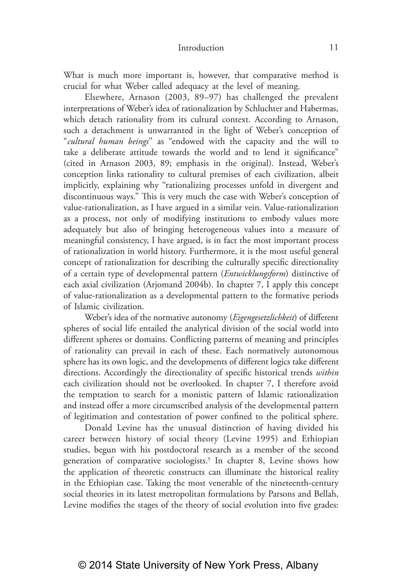What is much more important is, however, that comparative method is crucial for what Weber called adequacy at the level of meaning.

Elsewhere, Arnason (2003, 89–97) has challenged the prevalent interpretations of Weber's idea of rationalization by Schluchter and Habermas, which detach rationality from its cultural context. According to Arnason, such a detachment is unwarranted in the light of Weber's conception of "*cultural human beings*" as "endowed with the capacity and the will to take a deliberate attitude towards the world and to lend it significance" (cited in Arnason 2003, 89; emphasis in the original). Instead, Weber's conception links rationality to cultural premises of each civilization, albeit implicitly, explaining why "rationalizing processes unfold in divergent and discontinuous ways." This is very much the case with Weber's conception of value-rationalization, as I have argued in a similar vein. Value-rationalization as a process, not only of modifying institutions to embody values more adequately but also of bringing heterogeneous values into a measure of meaningful consistency, I have argued, is in fact the most important process of rationalization in world history. Furthermore, it is the most useful general concept of rationalization for describing the culturally specific directionality of a certain type of developmental pattern (*Entwicklungsform*) distinctive of each axial civilization (Arjomand 2004b). In chapter 7, I apply this concept of value‑rationalization as a developmental pattern to the formative periods of Islamic civilization.

Weber's idea of the normative autonomy (*Eigengesetzlichkeit*) of different spheres of social life entailed the analytical division of the social world into different spheres or domains. Conflicting patterns of meaning and principles of rationality can prevail in each of these. Each normatively autonomous sphere has its own logic, and the developments of different logics take different directions. Accordingly the directionality of specific historical trends *within* each civilization should not be overlooked. In chapter 7, I therefore avoid the temptation to search for a monistic pattern of Islamic rationalization and instead offer a more circumscribed analysis of the developmental pattern of legitimation and contestation of power confined to the political sphere.

Donald Levine has the unusual distinction of having divided his career between history of social theory (Levine 1995) and Ethiopian studies, begun with his postdoctoral research as a member of the second generation of comparative sociologists.<sup>5</sup> In chapter 8, Levine shows how the application of theoretic constructs can illuminate the historical reality in the Ethiopian case. Taking the most venerable of the nineteenth-century social theories in its latest metropolitan formulations by Parsons and Bellah, Levine modifies the stages of the theory of social evolution into five grades: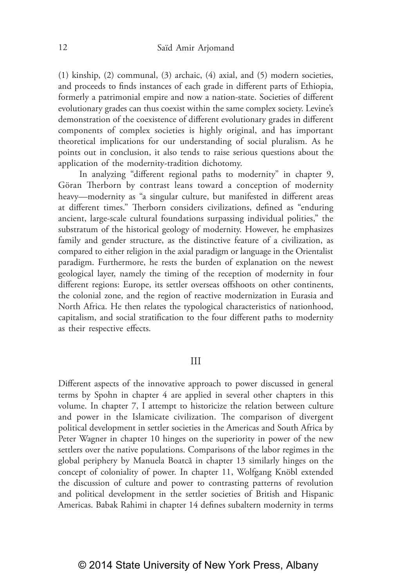(1) kinship, (2) communal, (3) archaic, (4) axial, and (5) modern societies, and proceeds to finds instances of each grade in different parts of Ethiopia, formerly a patrimonial empire and now a nation-state. Societies of different evolutionary grades can thus coexist within the same complex society. Levine's demonstration of the coexistence of different evolutionary grades in different components of complex societies is highly original, and has important theoretical implications for our understanding of social pluralism. As he points out in conclusion, it also tends to raise serious questions about the application of the modernity-tradition dichotomy.

In analyzing "different regional paths to modernity" in chapter 9, Göran Therborn by contrast leans toward a conception of modernity heavy—modernity as "a singular culture, but manifested in different areas at different times." Therborn considers civilizations, defined as "enduring ancient, large-scale cultural foundations surpassing individual polities," the substratum of the historical geology of modernity. However, he emphasizes family and gender structure, as the distinctive feature of a civilization, as compared to either religion in the axial paradigm or language in the Orientalist paradigm. Furthermore, he rests the burden of explanation on the newest geological layer, namely the timing of the reception of modernity in four different regions: Europe, its settler overseas offshoots on other continents, the colonial zone, and the region of reactive modernization in Eurasia and North Africa. He then relates the typological characteristics of nationhood, capitalism, and social stratification to the four different paths to modernity as their respective effects.

#### III

Different aspects of the innovative approach to power discussed in general terms by Spohn in chapter 4 are applied in several other chapters in this volume. In chapter 7, I attempt to historicize the relation between culture and power in the Islamicate civilization. The comparison of divergent political development in settler societies in the Americas and South Africa by Peter Wagner in chapter 10 hinges on the superiority in power of the new settlers over the native populations. Comparisons of the labor regimes in the global periphery by Manuela Boatcă in chapter 13 similarly hinges on the concept of coloniality of power. In chapter 11, Wolfgang Knöbl extended the discussion of culture and power to contrasting patterns of revolution and political development in the settler societies of British and Hispanic Americas. Babak Rahimi in chapter 14 defines subaltern modernity in terms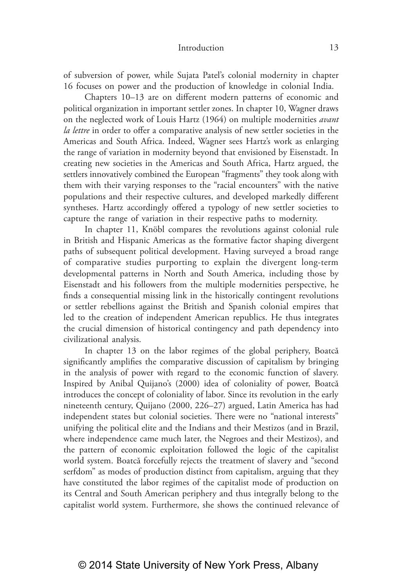of subversion of power, while Sujata Patel's colonial modernity in chapter 16 focuses on power and the production of knowledge in colonial India.

Chapters 10–13 are on different modern patterns of economic and political organization in important settler zones. In chapter 10, Wagner draws on the neglected work of Louis Hartz (1964) on multiple modernities *avant la lettre* in order to offer a comparative analysis of new settler societies in the Americas and South Africa. Indeed, Wagner sees Hartz's work as enlarging the range of variation in modernity beyond that envisioned by Eisenstadt. In creating new societies in the Americas and South Africa, Hartz argued, the settlers innovatively combined the European "fragments" they took along with them with their varying responses to the "racial encounters" with the native populations and their respective cultures, and developed markedly different syntheses. Hartz accordingly offered a typology of new settler societies to capture the range of variation in their respective paths to modernity.

In chapter 11, Knöbl compares the revolutions against colonial rule in British and Hispanic Americas as the formative factor shaping divergent paths of subsequent political development. Having surveyed a broad range of comparative studies purporting to explain the divergent long‑term developmental patterns in North and South America, including those by Eisenstadt and his followers from the multiple modernities perspective, he finds a consequential missing link in the historically contingent revolutions or settler rebellions against the British and Spanish colonial empires that led to the creation of independent American republics. He thus integrates the crucial dimension of historical contingency and path dependency into civilizational analysis.

In chapter 13 on the labor regimes of the global periphery, Boatcă significantly amplifies the comparative discussion of capitalism by bringing in the analysis of power with regard to the economic function of slavery. Inspired by Anibal Quijano's (2000) idea of coloniality of power, Boatcă introduces the concept of coloniality of labor. Since its revolution in the early nineteenth century, Quijano (2000, 226–27) argued, Latin America has had independent states but colonial societies. There were no "national interests" unifying the political elite and the Indians and their Mestizos (and in Brazil, where independence came much later, the Negroes and their Mestizos), and the pattern of economic exploitation followed the logic of the capitalist world system. Boatcă forcefully rejects the treatment of slavery and "second serfdom" as modes of production distinct from capitalism, arguing that they have constituted the labor regimes of the capitalist mode of production on its Central and South American periphery and thus integrally belong to the capitalist world system. Furthermore, she shows the continued relevance of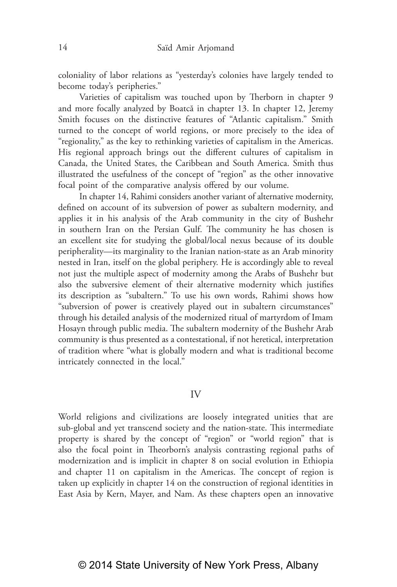coloniality of labor relations as "yesterday's colonies have largely tended to become today's peripheries."

Varieties of capitalism was touched upon by Therborn in chapter 9 and more focally analyzed by Boatcă in chapter 13. In chapter 12, Jeremy Smith focuses on the distinctive features of "Atlantic capitalism." Smith turned to the concept of world regions, or more precisely to the idea of "regionality," as the key to rethinking varieties of capitalism in the Americas. His regional approach brings out the different cultures of capitalism in Canada, the United States, the Caribbean and South America. Smith thus illustrated the usefulness of the concept of "region" as the other innovative focal point of the comparative analysis offered by our volume.

In chapter 14, Rahimi considers another variant of alternative modernity, defined on account of its subversion of power as subaltern modernity, and applies it in his analysis of the Arab community in the city of Bushehr in southern Iran on the Persian Gulf. The community he has chosen is an excellent site for studying the global/local nexus because of its double peripherality—its marginality to the Iranian nation‑state as an Arab minority nested in Iran, itself on the global periphery. He is accordingly able to reveal not just the multiple aspect of modernity among the Arabs of Bushehr but also the subversive element of their alternative modernity which justifies its description as "subaltern." To use his own words, Rahimi shows how "subversion of power is creatively played out in subaltern circumstances" through his detailed analysis of the modernized ritual of martyrdom of Imam Hosayn through public media. The subaltern modernity of the Bushehr Arab community is thus presented as a contestational, if not heretical, interpretation of tradition where "what is globally modern and what is traditional become intricately connected in the local."

#### IV

World religions and civilizations are loosely integrated unities that are sub-global and yet transcend society and the nation-state. This intermediate property is shared by the concept of "region" or "world region" that is also the focal point in Theorborn's analysis contrasting regional paths of modernization and is implicit in chapter 8 on social evolution in Ethiopia and chapter 11 on capitalism in the Americas. The concept of region is taken up explicitly in chapter 14 on the construction of regional identities in East Asia by Kern, Mayer, and Nam. As these chapters open an innovative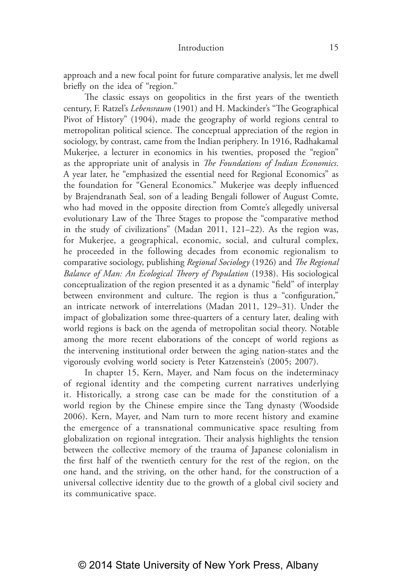approach and a new focal point for future comparative analysis, let me dwell briefly on the idea of "region."

The classic essays on geopolitics in the first years of the twentieth century, F. Ratzel's *Lebensraum* (1901) and H. Mackinder's "The Geographical Pivot of History" (1904), made the geography of world regions central to metropolitan political science. The conceptual appreciation of the region in sociology, by contrast, came from the Indian periphery. In 1916, Radhakamal Mukerjee, a lecturer in economics in his twenties, proposed the "region" as the appropriate unit of analysis in *The Foundations of Indian Economics*. A year later, he "emphasized the essential need for Regional Economics" as the foundation for "General Economics." Mukerjee was deeply influenced by Brajendranath Seal, son of a leading Bengali follower of August Comte, who had moved in the opposite direction from Comte's allegedly universal evolutionary Law of the Three Stages to propose the "comparative method in the study of civilizations" (Madan 2011, 121–22). As the region was, for Mukerjee, a geographical, economic, social, and cultural complex, he proceeded in the following decades from economic regionalism to comparative sociology, publishing *Regional Sociology* (1926) and *The Regional Balance of Man: An Ecological Theory of Population* (1938). His sociological conceptualization of the region presented it as a dynamic "field" of interplay between environment and culture. The region is thus a "configuration," an intricate network of interrelations (Madan 2011, 129–31). Under the impact of globalization some three-quarters of a century later, dealing with world regions is back on the agenda of metropolitan social theory. Notable among the more recent elaborations of the concept of world regions as the intervening institutional order between the aging nation-states and the vigorously evolving world society is Peter Katzenstein's (2005; 2007).

In chapter 15, Kern, Mayer, and Nam focus on the indeterminacy of regional identity and the competing current narratives underlying it. Historically, a strong case can be made for the constitution of a world region by the Chinese empire since the Tang dynasty (Woodside 2006). Kern, Mayer, and Nam turn to more recent history and examine the emergence of a transnational communicative space resulting from globalization on regional integration. Their analysis highlights the tension between the collective memory of the trauma of Japanese colonialism in the first half of the twentieth century for the rest of the region, on the one hand, and the striving, on the other hand, for the construction of a universal collective identity due to the growth of a global civil society and its communicative space.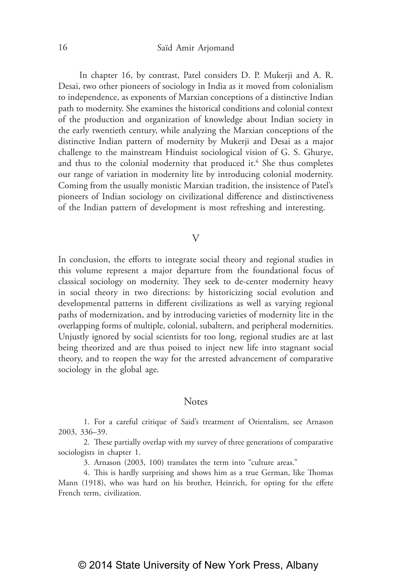In chapter 16, by contrast, Patel considers D. P. Mukerji and A. R. Desai, two other pioneers of sociology in India as it moved from colonialism to independence, as exponents of Marxian conceptions of a distinctive Indian path to modernity. She examines the historical conditions and colonial context of the production and organization of knowledge about Indian society in the early twentieth century, while analyzing the Marxian conceptions of the distinctive Indian pattern of modernity by Mukerji and Desai as a major challenge to the mainstream Hinduist sociological vision of G. S. Ghurye, and thus to the colonial modernity that produced it.<sup>6</sup> She thus completes our range of variation in modernity lite by introducing colonial modernity. Coming from the usually monistic Marxian tradition, the insistence of Patel's pioneers of Indian sociology on civilizational difference and distinctiveness of the Indian pattern of development is most refreshing and interesting.

#### V

In conclusion, the efforts to integrate social theory and regional studies in this volume represent a major departure from the foundational focus of classical sociology on modernity. They seek to de‑center modernity heavy in social theory in two directions: by historicizing social evolution and developmental patterns in different civilizations as well as varying regional paths of modernization, and by introducing varieties of modernity lite in the overlapping forms of multiple, colonial, subaltern, and peripheral modernities. Unjustly ignored by social scientists for too long, regional studies are at last being theorized and are thus poised to inject new life into stagnant social theory, and to reopen the way for the arrested advancement of comparative sociology in the global age.

#### **Notes**

1. For a careful critique of Said's treatment of Orientalism, see Arnason 2003, 336–39.

2. These partially overlap with my survey of three generations of comparative sociologists in chapter 1.

3. Arnason (2003, 100) translates the term into "culture areas."

4. This is hardly surprising and shows him as a true German, like Thomas Mann (1918), who was hard on his brother, Heinrich, for opting for the effete French term, civilization.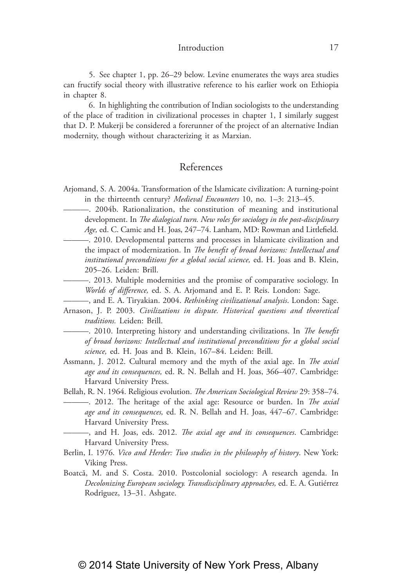5. See chapter 1, pp. 26–29 below. Levine enumerates the ways area studies can fructify social theory with illustrative reference to his earlier work on Ethiopia in chapter 8.

6. In highlighting the contribution of Indian sociologists to the understanding of the place of tradition in civilizational processes in chapter 1, I similarly suggest that D. P. Mukerji be considered a forerunner of the project of an alternative Indian modernity, though without characterizing it as Marxian.

### References

- Arjomand, S. A. 2004a. Transformation of the Islamicate civilization: A turning‑point in the thirteenth century? *Medieval Encounters* 10, no. 1–3: 213–45.
	- ———. 2004b. Rationalization, the constitution of meaning and institutional development. In *The dialogical turn. New roles for sociology in the post-disciplinary Age,* ed. C. Camic and H. Joas, 247–74. Lanham, MD: Rowman and Littlefield.
- ———. 2010. Developmental patterns and processes in Islamicate civilization and the impact of modernization. In *The benefit of broad horizons: Intellectual and institutional preconditions for a global social science,* ed. H. Joas and B. Klein, 205–26. Leiden: Brill.
	- ———. 2013. Multiple modernities and the promise of comparative sociology. In *Worlds of difference,* ed. S. A. Arjomand and E. P. Reis. London: Sage.
	- ———, and E. A. Tiryakian. 2004. *Rethinking civilizational analysis*. London: Sage.
- Arnason, J. P. 2003. *Civilizations in dispute. Historical questions and theoretical traditions.* Leiden: Brill.
	- ———. 2010. Interpreting history and understanding civilizations. In *The benefit of broad horizons: Intellectual and institutional preconditions for a global social science,* ed. H. Joas and B. Klein, 167–84. Leiden: Brill.
- Assmann, J. 2012. Cultural memory and the myth of the axial age. In *The axial age and its consequences,* ed. R. N. Bellah and H. Joas, 366–407. Cambridge: Harvard University Press.
- Bellah, R. N. 1964. Religious evolution. *The American Sociological Review* 29: 358–74. ———. 2012. The heritage of the axial age: Resource or burden. In *The axial age and its consequences,* ed. R. N. Bellah and H. Joas, 447–67. Cambridge: Harvard University Press.
	- ———, and H. Joas, eds. 2012. *The axial age and its consequences*. Cambridge: Harvard University Press.
- Berlin, I. 1976. *Vico and Herder: Two studies in the philosophy of history*. New York: Viking Press.
- Boatcă, M. and S. Costa. 2010. Postcolonial sociology: A research agenda. In *Decolonizing European sociology. Transdisciplinary approaches,* ed. E. A. Gutiérrez Rodrīguez, 13–31. Ashgate.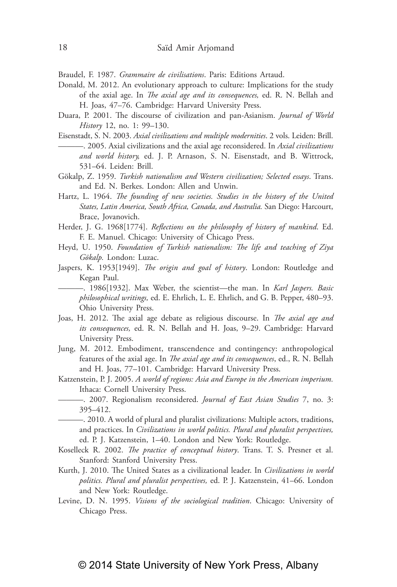Braudel, F. 1987. *Grammaire de civilisations*. Paris: Editions Artaud.

- Donald, M. 2012. An evolutionary approach to culture: Implications for the study of the axial age. In *The axial age and its consequences,* ed. R. N. Bellah and H. Joas, 47–76. Cambridge: Harvard University Press.
- Duara, P. 2001. The discourse of civilization and pan‑Asianism. *Journal of World History* 12, no. 1: 99–130.
- Eisenstadt, S. N. 2003. *Axial civilizations and multiple modernities*. 2 vols. Leiden: Brill. ———. 2005. Axial civilizations and the axial age reconsidered. In *Axial civilizations and world history,* ed. J. P. Arnason, S. N. Eisenstadt, and B. Wittrock, 531–64. Leiden: Brill.
- Gökalp, Z. 1959. *Turkish nationalism and Western civilization; Selected essays*. Trans. and Ed. N. Berkes. London: Allen and Unwin.
- Hartz, L. 1964. *The founding of new societies. Studies in the history of the United States, Latin America, South Africa, Canada, and Australia.* San Diego: Harcourt, Brace, Jovanovich.
- Herder, J. G. 1968[1774]. *Reflections on the philosophy of history of mankind*. Ed. F. E. Manuel. Chicago: University of Chicago Press.
- Heyd, U. 1950. *Foundation of Turkish nationalism: The life and teaching of Ziya Gökalp.* London: Luzac.
- Jaspers, K. 1953[1949]. *The origin and goal of history*. London: Routledge and Kegan Paul.
	- ———. 1986[1932]. Max Weber, the scientist—the man. In *Karl Jaspers. Basic philosophical writings,* ed. E. Ehrlich, L. E. Ehrlich, and G. B. Pepper, 480–93. Ohio University Press.
- Joas, H. 2012. The axial age debate as religious discourse. In *The axial age and its consequences,* ed. R. N. Bellah and H. Joas, 9–29. Cambridge: Harvard University Press.
- Jung, M. 2012. Embodiment, transcendence and contingency: anthropological features of the axial age. In *The axial age and its consequences*, ed., R. N. Bellah and H. Joas, 77–101. Cambridge: Harvard University Press.
- Katzenstein, P. J. 2005. *A world of regions: Asia and Europe in the American imperium.* Ithaca: Cornell University Press.
	- ———. 2007. Regionalism reconsidered. *Journal of East Asian Studies* 7, no. 3: 395–412.
	- ———. 2010. A world of plural and pluralist civilizations: Multiple actors, traditions, and practices. In *Civilizations in world politics. Plural and pluralist perspectives,*  ed. P. J. Katzenstein, 1–40. London and New York: Routledge.
- Koselleck R. 2002. *The practice of conceptual history*. Trans. T. S. Presner et al. Stanford: Stanford University Press.
- Kurth, J. 2010. The United States as a civilizational leader. In *Civilizations in world politics. Plural and pluralist perspectives,* ed. P. J. Katzenstein, 41–66. London and New York: Routledge.
- Levine, D. N. 1995. *Visions of the sociological tradition*. Chicago: University of Chicago Press.

## © 2014 State University of New York Press, Albany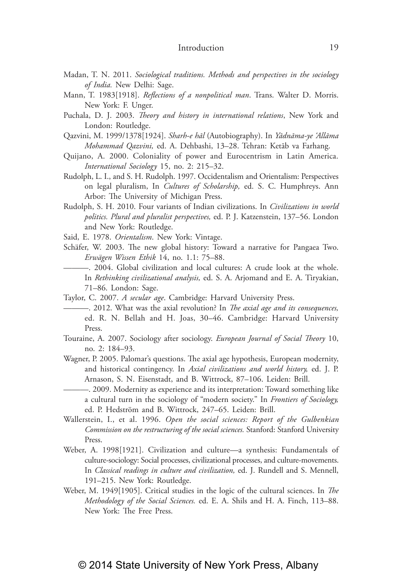- Madan, T. N. 2011. *Sociological traditions. Methods and perspectives in the sociology of India.* New Delhi: Sage.
- Mann, T. 1983[1918]. *Reflections of a nonpolitical man*. Trans. Walter D. Morris. New York: F. Unger.
- Puchala, D. J. 2003. *Theory and history in international relations*, New York and London: Routledge.
- Qazvini, M. 1999/1378[1924]. *Sharh‑e hāl* (Autobiography). In *Yādnāma‑ye 'Allāma Mohammad Qazvini,* ed. A. Dehbashi, 13–28. Tehran: Ketāb va Farhang.
- Quijano, A. 2000. Coloniality of power and Eurocentrism in Latin America. *International Sociology* 15, no. 2: 215–32.
- Rudolph, L. I., and S. H. Rudolph. 1997. Occidentalism and Orientalism: Perspectives on legal pluralism, In *Cultures of Scholarship,* ed. S. C. Humphreys. Ann Arbor: The University of Michigan Press.
- Rudolph, S. H. 2010. Four variants of Indian civilizations. In *Civilizations in world politics. Plural and pluralist perspectives,* ed. P. J. Katzenstein, 137–56. London and New York: Routledge.
- Said, E. 1978. *Orientalism*. New York: Vintage.
- Schäfer, W. 2003. The new global history: Toward a narrative for Pangaea Two. *Erwägen Wissen Ethik* 14, no. 1.1: 75–88.
	- ———. 2004. Global civilization and local cultures: A crude look at the whole. In *Rethinking civilizational analysis,* ed. S. A. Arjomand and E. A. Tiryakian, 71–86. London: Sage.
- Taylor, C. 2007. *A secular age*. Cambridge: Harvard University Press.
	- ———. 2012. What was the axial revolution? In *The axial age and its consequences,*  ed. R. N. Bellah and H. Joas, 30–46. Cambridge: Harvard University Press.
- Touraine, A. 2007. Sociology after sociology. *European Journal of Social Theory* 10, no. 2: 184–93.
- Wagner, P. 2005. Palomar's questions. The axial age hypothesis, European modernity, and historical contingency. In *Axial civilizations and world history,* ed. J. P. Arnason, S. N. Eisenstadt, and B. Wittrock, 87–106. Leiden: Brill.
	- ———. 2009. Modernity as experience and its interpretation: Toward something like a cultural turn in the sociology of "modern society." In *Frontiers of Sociology,*  ed. P. Hedström and B. Wittrock, 247–65. Leiden: Brill.
- Wallerstein, I., et al. 1996. *Open the social sciences: Report of the Gulbenkian Commission on the restructuring of the social sciences.* Stanford: Stanford University Press.
- Weber, A. 1998[1921]. Civilization and culture—a synthesis: Fundamentals of culture‑sociology: Social processes, civilizational processes, and culture‑movements. In *Classical readings in culture and civilization,* ed. J. Rundell and S. Mennell, 191–215. New York: Routledge.
- Weber, M. 1949[1905]. Critical studies in the logic of the cultural sciences. In *The Methodology of the Social Sciences.* ed. E. A. Shils and H. A. Finch, 113–88. New York: The Free Press.

#### 19

## © 2014 State University of New York Press, Albany